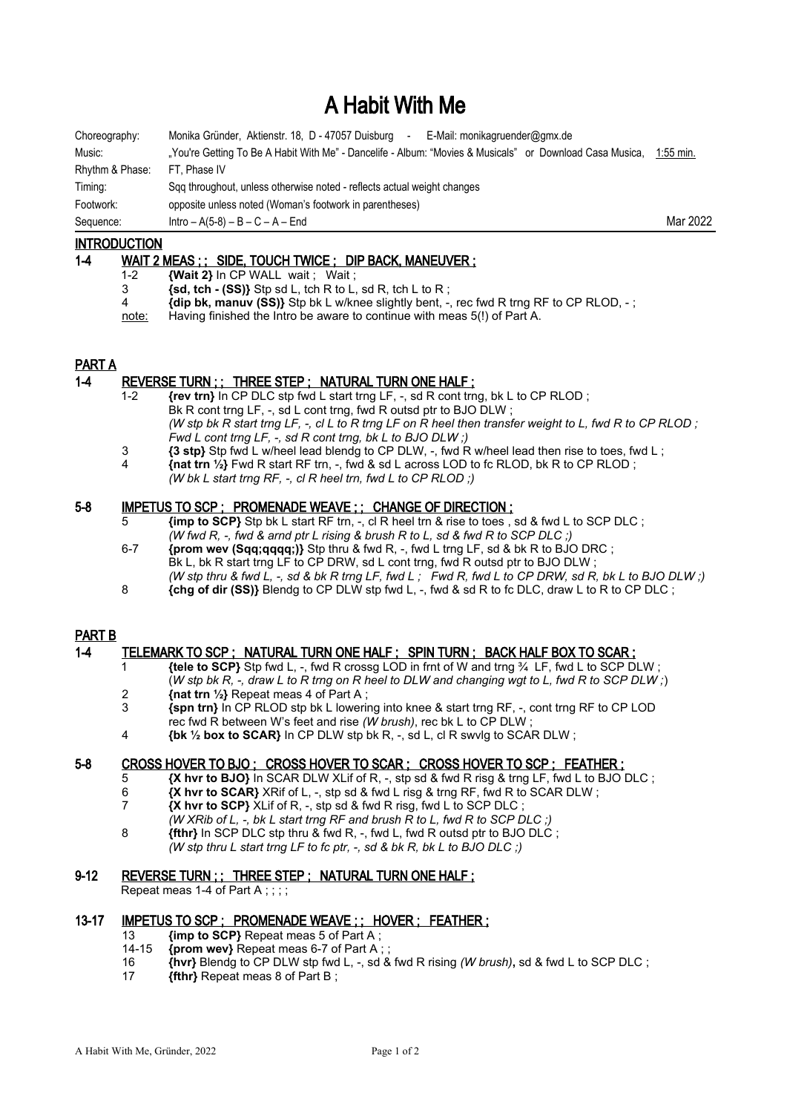# A Habit With Me

| Choreography:   | Monika Gründer, Aktienstr. 18, D - 47057 Duisburg<br>E-Mail: monikagruender@gmx.de<br>$\sim$             |             |
|-----------------|----------------------------------------------------------------------------------------------------------|-------------|
| Music:          | "You're Getting To Be A Habit With Me" - Dancelife - Album: "Movies & Musicals" or Download Casa Musica, | $1:55$ min. |
| Rhythm & Phase: | FT. Phase IV                                                                                             |             |
| Timing:         | Sqq throughout, unless otherwise noted - reflects actual weight changes                                  |             |
| Footwork:       | opposite unless noted (Woman's footwork in parentheses)                                                  |             |
| Sequence:       | $Intro - A(5-8) - B - C - A - End$                                                                       | Mar 2022    |

# **INTRODUCTION**

# 1-4 WAIT 2 MEAS ; ; SIDE, TOUCH TWICE ; DIP BACK, MANEUVER ;

- 1-2 **{Wait 2}** In CP WALL wait ; Wait ;
- 3 **{sd, tch (SS)}** Stp sd L, tch R to L, sd R, tch L to R ;
- 4 **{dip bk, manuv (SS)}** Stp bk L w/knee slightly bent, -, rec fwd R trng RF to CP RLOD, ;
- note: Having finished the Intro be aware to continue with meas 5(!) of Part A.

#### PART A

# 1-4 REVERSE TURN ; ; THREE STEP ; NATURAL TURN ONE HALF ;

- 1-2 **{rev trn}** In CP DLC stp fwd L start trng LF, -, sd R cont trng, bk L to CP RLOD ; Bk R cont trng LF, -, sd L cont trng, fwd R outsd ptr to BJO DLW; *(W stp bk R start trng LF, -, cl L to R trng LF on R heel then transfer weight to L, fwd R to CP RLOD ; Fwd L cont trng LF, -, sd R cont trng, bk L to BJO DLW ;)*
- 3 **{3 stp}** Stp fwd L w/heel lead blendg to CP DLW, -, fwd R w/heel lead then rise to toes, fwd L ;
- 4 **{nat trn ½}** Fwd R start RF trn, -, fwd & sd L across LOD to fc RLOD, bk R to CP RLOD ; *(W bk L start trng RF, -, cl R heel trn, fwd L to CP RLOD ;)*

#### 5-8 IMPETUS TO SCP ; PROMENADE WEAVE ; ; CHANGE OF DIRECTION ;

- 5 **{imp to SCP}** Stp bk L start RF trn, -, cl R heel trn & rise to toes , sd & fwd L to SCP DLC ; *(W fwd R, -, fwd & arnd ptr L rising & brush R to L, sd & fwd R to SCP DLC ;)*
- 6-7 **{prom wev (Sqq;qqqq;)}** Stp thru & fwd R, -, fwd L trng LF, sd & bk R to BJO DRC ; Bk L, bk R start trng LF to CP DRW, sd L cont trng, fwd R outsd ptr to BJO DLW; *(W stp thru & fwd L, -, sd & bk R trng LF, fwd L ; Fwd R, fwd L to CP DRW, sd R, bk L to BJO DLW ;)*
- 8 **{chg of dir (SS)}** Blendg to CP DLW stp fwd L, -, fwd & sd R to fc DLC, draw L to R to CP DLC ;

# PART B

# 1-4 TELEMARK TO SCP ; NATURAL TURN ONE HALF ; SPIN TURN ; BACK HALF BOX TO SCAR ;

- 1 **{tele to SCP}** Stp fwd L, -, fwd R crossg LOD in frnt of W and trng ¾ LF, fwd L to SCP DLW ; (*W stp bk R, -, draw L to R trng on R heel to DLW and changing wgt to L, fwd R to SCP DLW ;*) 2 **{nat trn ½}** Repeat meas 4 of Part A ;
- 
- 3 **{spn trn}** In CP RLOD stp bk L lowering into knee & start trng RF, -, cont trng RF to CP LOD rec fwd R between W's feet and rise *(W brush)*, rec bk L to CP DLW ;
- 4 **{bk ½ box to SCAR}** In CP DLW stp bk R, -, sd L, cl R swvlg to SCAR DLW ;

# 5-8 CROSS HOVER TO BJO; CROSS HOVER TO SCAR; CROSS HOVER TO SCP; FEATHER;

- 5 **{X hvr to BJO}** In SCAR DLW XLif of R, -, stp sd & fwd R risg & trng LF, fwd L to BJO DLC ;
- **EX hvr to SCAR}** XRif of L, -, stp sd & fwd L risg & trng RF, fwd R to SCAR DLW ;<br> **X** hvr to SCP XI if of R stp sd & fwd R risg fwd L to SCP DLC :
- 7 **{X hvr to SCP}** XLif of R, -, stp sd & fwd R risg, fwd L to SCP DLC ;
- *(W XRib of L, -, bk L start trng RF and brush R to L, fwd R to SCP DLC ;)*
- 8 **{fthr}** In SCP DLC stp thru & fwd R, -, fwd L, fwd R outsd ptr to BJO DLC;
- *(W stp thru L start trng LF to fc ptr, -, sd & bk R, bk L to BJO DLC ;)*

# 9-12 REVERSE TURN ; ; THREE STEP ; NATURAL TURN ONE HALF ;

Repeat meas 1-4 of Part A ; ; ; ;

# 13-17 IMPETUS TO SCP; PROMENADE WEAVE;; HOVER; FEATHER;

- 13 **{imp to SCP}** Repeat meas 5 of Part A ;
- 14-15 **{prom wev}** Repeat meas 6-7 of Part A ;<br>16 *{hyr}* Blenda to CP DI W stp fwd L sd i
- 16 **{hvr}** Blendg to CP DLW stp fwd L, -, sd & fwd R rising *(W brush)***,** sd & fwd L to SCP DLC ;
- 17 **{fthr}** Repeat meas 8 of Part B ;